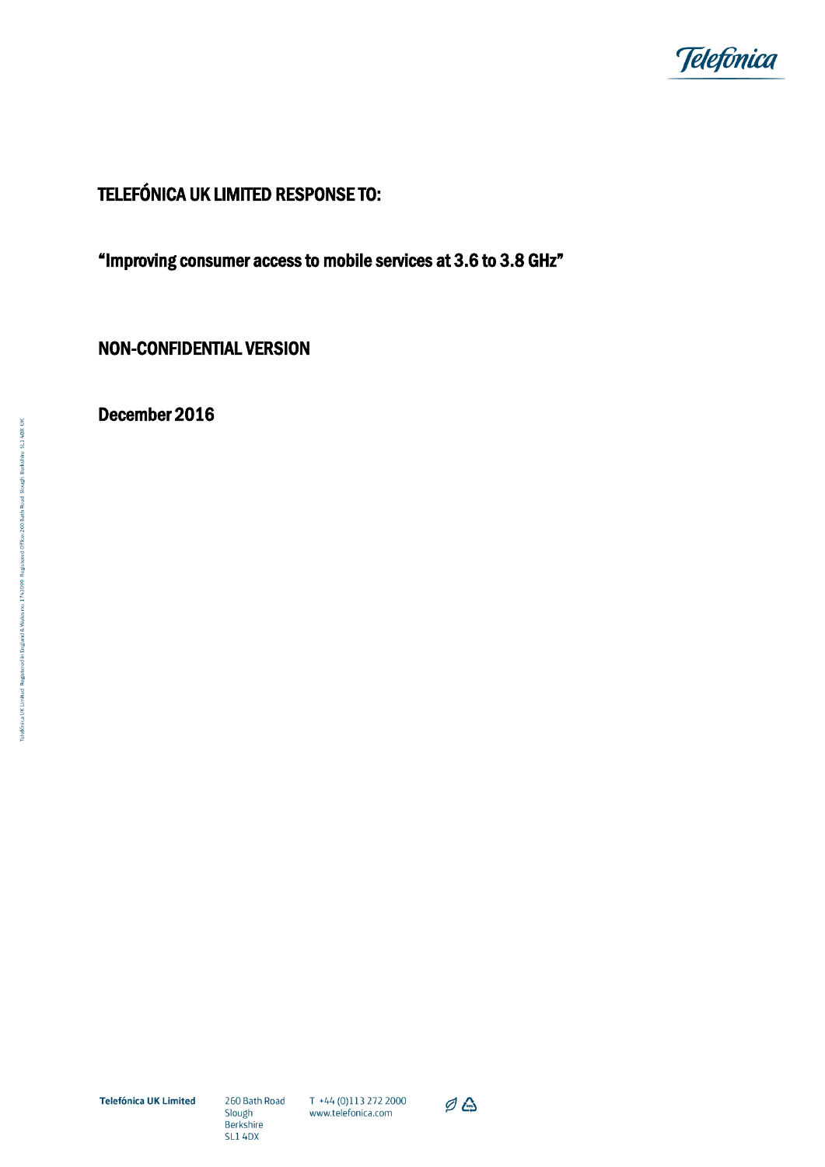

# TELEFÓNICA UK LIMITED RESPONSE TO:

"Improving consumer access to mobile services at 3.6 to 3.8 GHz"

NON-CONFIDENTIAL VERSION

December 2016

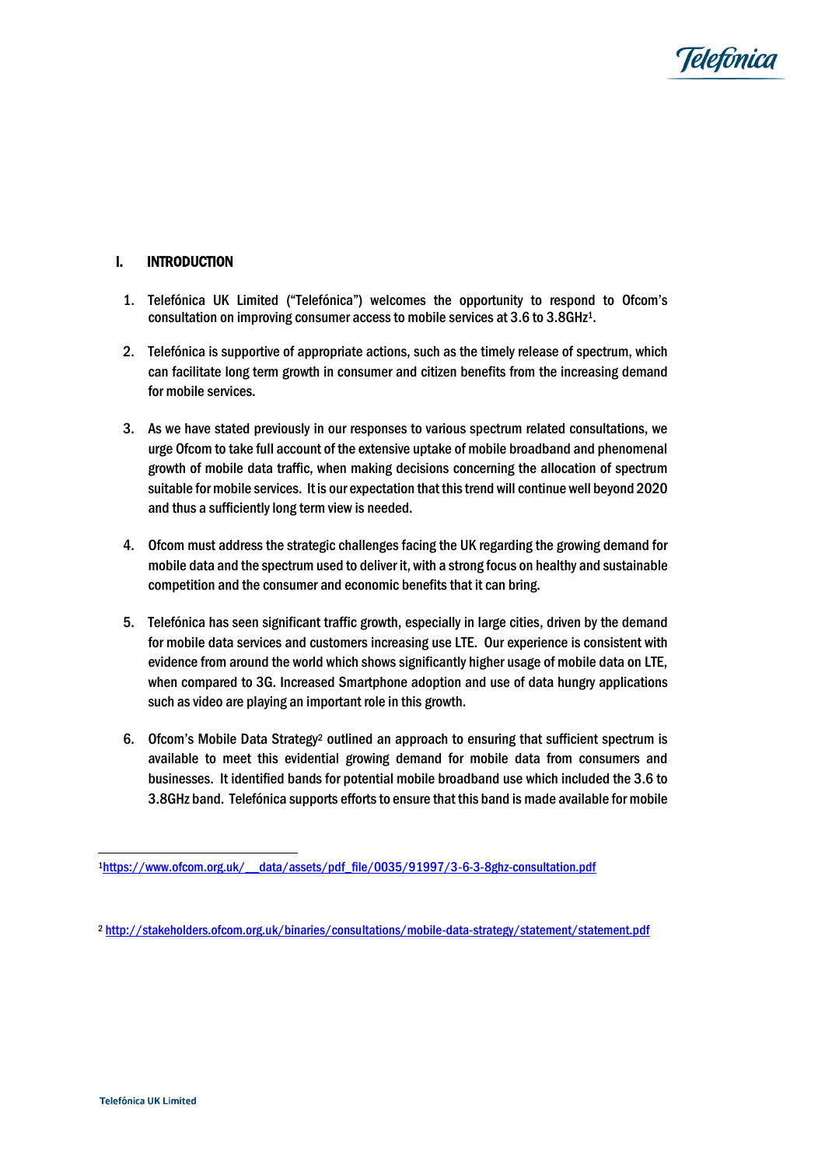

## I. INTRODUCTION

- 1. Telefónica UK Limited ("Telefónica") welcomes the opportunity to respond to Ofcom's consultation on improving consumer access to mobile services at 3.6 to 3.8GHz1.
- 2. Telefónica is supportive of appropriate actions, such as the timely release of spectrum, which can facilitate long term growth in consumer and citizen benefits from the increasing demand for mobile services.
- 3. As we have stated previously in our responses to various spectrum related consultations, we urge Ofcom to take full account of the extensive uptake of mobile broadband and phenomenal growth of mobile data traffic, when making decisions concerning the allocation of spectrum suitable for mobile services. It is our expectation that this trend will continue well beyond 2020 and thus a sufficiently long term view is needed.
- 4. Ofcom must address the strategic challenges facing the UK regarding the growing demand for mobile data and the spectrum used to deliver it, with a strong focus on healthy and sustainable competition and the consumer and economic benefits that it can bring.
- 5. Telefónica has seen significant traffic growth, especially in large cities, driven by the demand for mobile data services and customers increasing use LTE. Our experience is consistent with evidence from around the world which shows significantly higher usage of mobile data on LTE, when compared to 3G. Increased Smartphone adoption and use of data hungry applications such as video are playing an important role in this growth.
- 6. Ofcom's Mobile Data Strategy<sup>2</sup> outlined an approach to ensuring that sufficient spectrum is available to meet this evidential growing demand for mobile data from consumers and businesses. It identified bands for potential mobile broadband use which included the 3.6 to 3.8GHz band. Telefónica supports efforts to ensure that this band is made available for mobile

<sup>1</sup>[https://www.ofcom.org.uk/\\_\\_data/assets/pdf\\_file/0035/91997/3-6-3-8ghz-consultation.pdf](https://www.ofcom.org.uk/__data/assets/pdf_file/0035/91997/3-6-3-8ghz-consultation.pdf)

<sup>2</sup> <http://stakeholders.ofcom.org.uk/binaries/consultations/mobile-data-strategy/statement/statement.pdf>

1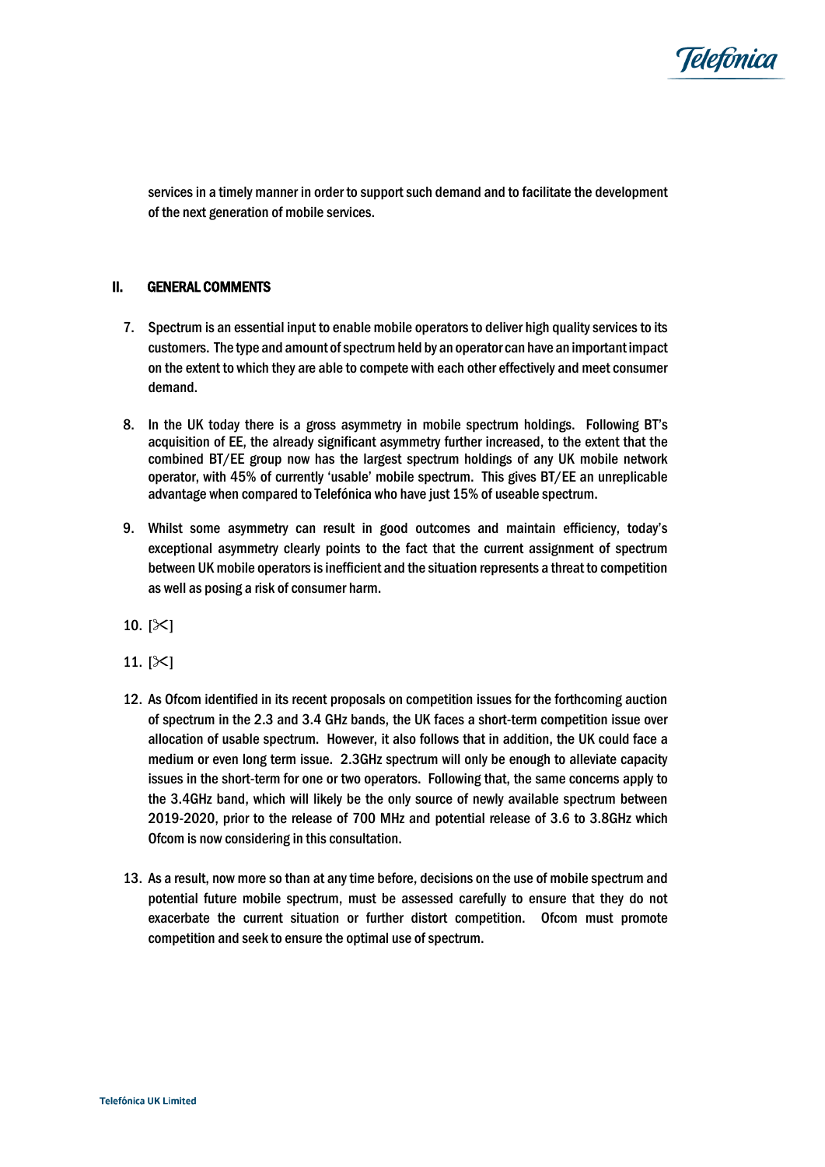

services in a timely manner in order to support such demand and to facilitate the development of the next generation of mobile services.

### II. GENERAL COMMENTS

- 7. Spectrum is an essential input to enable mobile operators to deliver high quality services to its customers. The type and amount of spectrum held by an operator can have an important impact on the extent to which they are able to compete with each other effectively and meet consumer demand.
- 8. In the UK today there is a gross asymmetry in mobile spectrum holdings. Following BT's acquisition of EE, the already significant asymmetry further increased, to the extent that the combined BT/EE group now has the largest spectrum holdings of any UK mobile network operator, with 45% of currently 'usable' mobile spectrum. This gives BT/EE an unreplicable advantage when compared to Telefónica who have just 15% of useable spectrum.
- 9. Whilst some asymmetry can result in good outcomes and maintain efficiency, today's exceptional asymmetry clearly points to the fact that the current assignment of spectrum between UK mobile operators is inefficient and the situation represents a threat to competition as well as posing a risk of consumer harm.
- 10.  $[\times]$
- 11.  $[\times]$
- 12. As Ofcom identified in its recent proposals on competition issues for the forthcoming auction of spectrum in the 2.3 and 3.4 GHz bands, the UK faces a short-term competition issue over allocation of usable spectrum. However, it also follows that in addition, the UK could face a medium or even long term issue. 2.3GHz spectrum will only be enough to alleviate capacity issues in the short-term for one or two operators. Following that, the same concerns apply to the 3.4GHz band, which will likely be the only source of newly available spectrum between 2019-2020, prior to the release of 700 MHz and potential release of 3.6 to 3.8GHz which Ofcom is now considering in this consultation.
- 13. As a result, now more so than at any time before, decisions on the use of mobile spectrum and potential future mobile spectrum, must be assessed carefully to ensure that they do not exacerbate the current situation or further distort competition. Ofcom must promote competition and seek to ensure the optimal use of spectrum.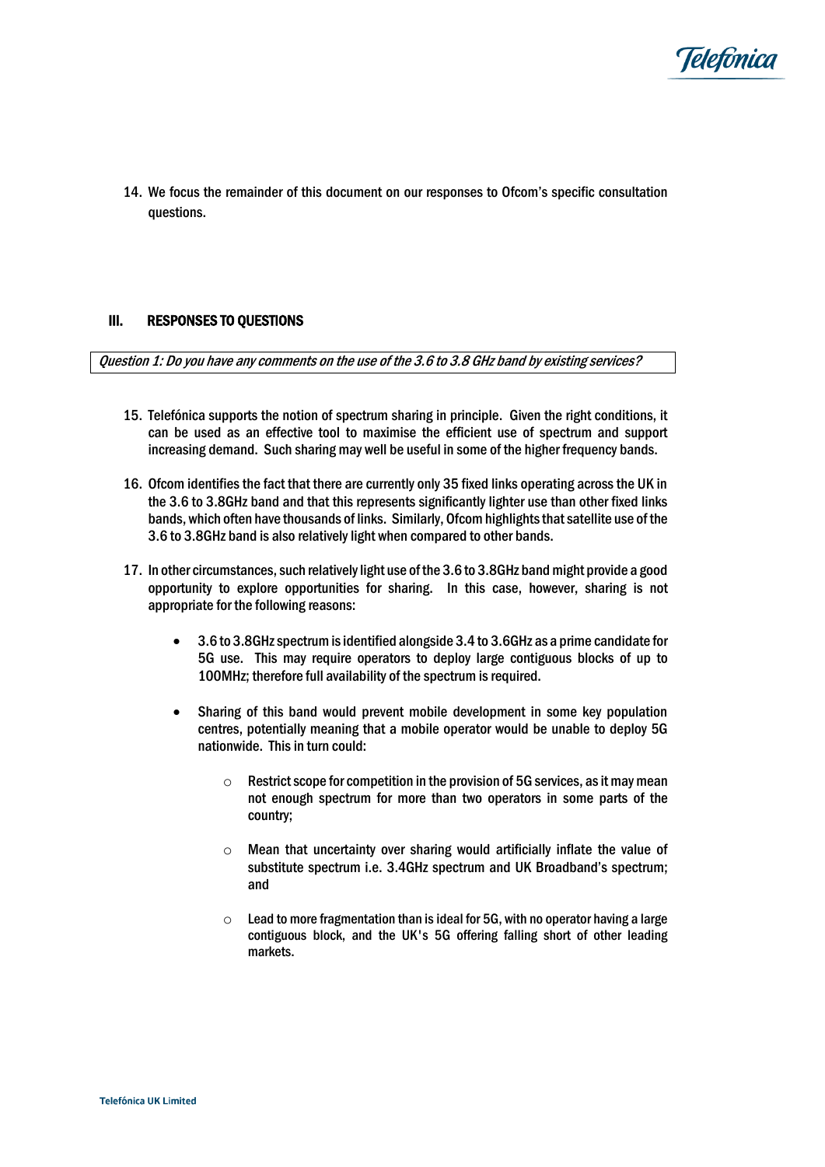

14. We focus the remainder of this document on our responses to Ofcom's specific consultation questions.

#### III. RESPONSES TO QUESTIONS

Question 1: Do you have any comments on the use of the 3.6 to 3.8 GHz band by existing services?

- 15. Telefónica supports the notion of spectrum sharing in principle. Given the right conditions, it can be used as an effective tool to maximise the efficient use of spectrum and support increasing demand. Such sharing may well be useful in some of the higher frequency bands.
- 16. Ofcom identifies the fact that there are currently only 35 fixed links operating across the UK in the 3.6 to 3.8GHz band and that this represents significantly lighter use than other fixed links bands, which often have thousands of links. Similarly, Ofcom highlights that satellite use of the 3.6 to 3.8GHz band is also relatively light when compared to other bands.
- 17. In other circumstances, such relatively light use of the 3.6 to 3.8GHz band might provide a good opportunity to explore opportunities for sharing. In this case, however, sharing is not appropriate for the following reasons:
	- 3.6 to 3.8GHz spectrum is identified alongside 3.4 to 3.6GHz as a prime candidate for 5G use. This may require operators to deploy large contiguous blocks of up to 100MHz; therefore full availability of the spectrum is required.
	- Sharing of this band would prevent mobile development in some key population centres, potentially meaning that a mobile operator would be unable to deploy 5G nationwide. This in turn could:
		- $\circ$  Restrict scope for competition in the provision of 5G services, as it may mean not enough spectrum for more than two operators in some parts of the country;
		- o Mean that uncertainty over sharing would artificially inflate the value of substitute spectrum i.e. 3.4GHz spectrum and UK Broadband's spectrum; and
		- $\circ$  Lead to more fragmentation than is ideal for 5G, with no operator having a large contiguous block, and the UK's 5G offering falling short of other leading markets.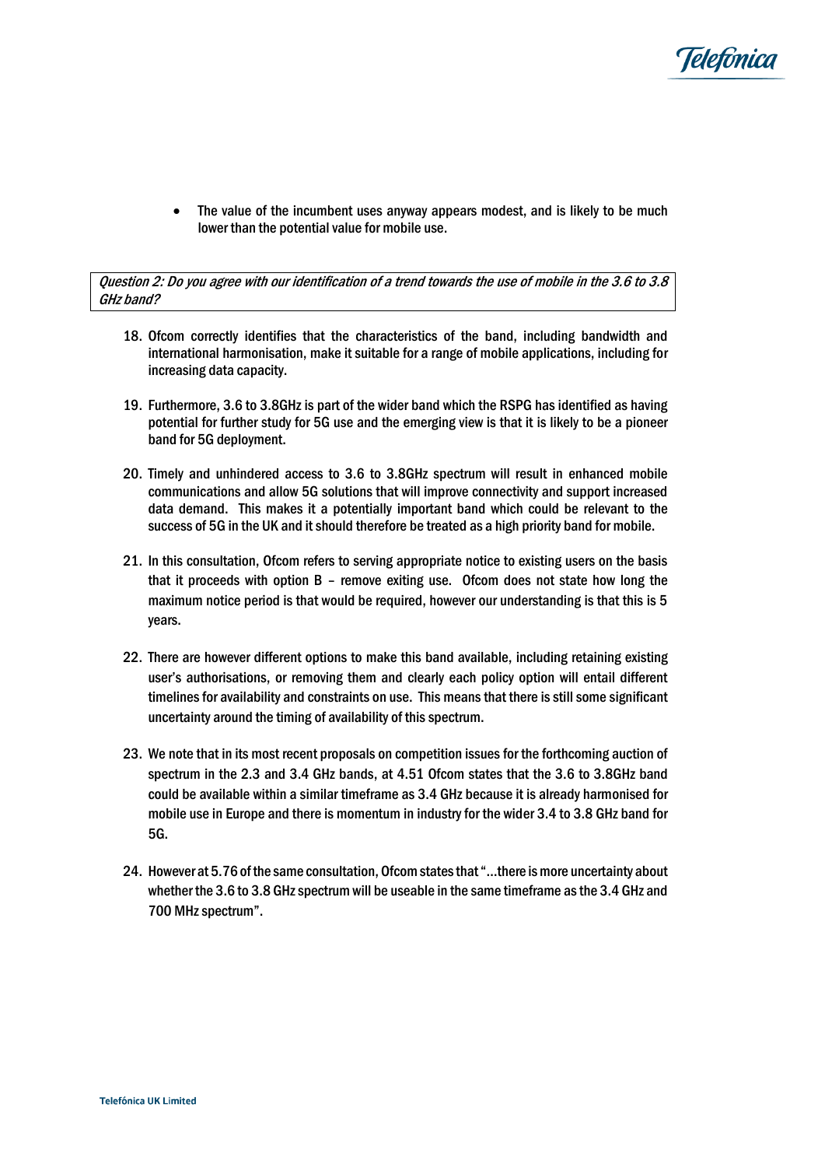

• The value of the incumbent uses anyway appears modest, and is likely to be much lower than the potential value for mobile use.

Question 2: Do you agree with our identification of a trend towards the use of mobile in the 3.6 to 3.8 GHz band?

- 18. Ofcom correctly identifies that the characteristics of the band, including bandwidth and international harmonisation, make it suitable for a range of mobile applications, including for increasing data capacity.
- 19. Furthermore, 3.6 to 3.8GHz is part of the wider band which the RSPG has identified as having potential for further study for 5G use and the emerging view is that it is likely to be a pioneer band for 5G deployment.
- 20. Timely and unhindered access to 3.6 to 3.8GHz spectrum will result in enhanced mobile communications and allow 5G solutions that will improve connectivity and support increased data demand. This makes it a potentially important band which could be relevant to the success of 5G in the UK and it should therefore be treated as a high priority band for mobile.
- 21. In this consultation, Ofcom refers to serving appropriate notice to existing users on the basis that it proceeds with option B – remove exiting use. Ofcom does not state how long the maximum notice period is that would be required, however our understanding is that this is 5 years.
- 22. There are however different options to make this band available, including retaining existing user's authorisations, or removing them and clearly each policy option will entail different timelines for availability and constraints on use. This means that there is still some significant uncertainty around the timing of availability of this spectrum.
- 23. We note that in its most recent proposals on competition issues for the forthcoming auction of spectrum in the 2.3 and 3.4 GHz bands, at 4.51 Ofcom states that the 3.6 to 3.8GHz band could be available within a similar timeframe as 3.4 GHz because it is already harmonised for mobile use in Europe and there is momentum in industry for the wider 3.4 to 3.8 GHz band for 5G.
- 24. However at 5.76 of the same consultation, Ofcom states that "…there is more uncertainty about whether the 3.6 to 3.8 GHz spectrum will be useable in the same timeframe as the 3.4 GHz and 700 MHz spectrum".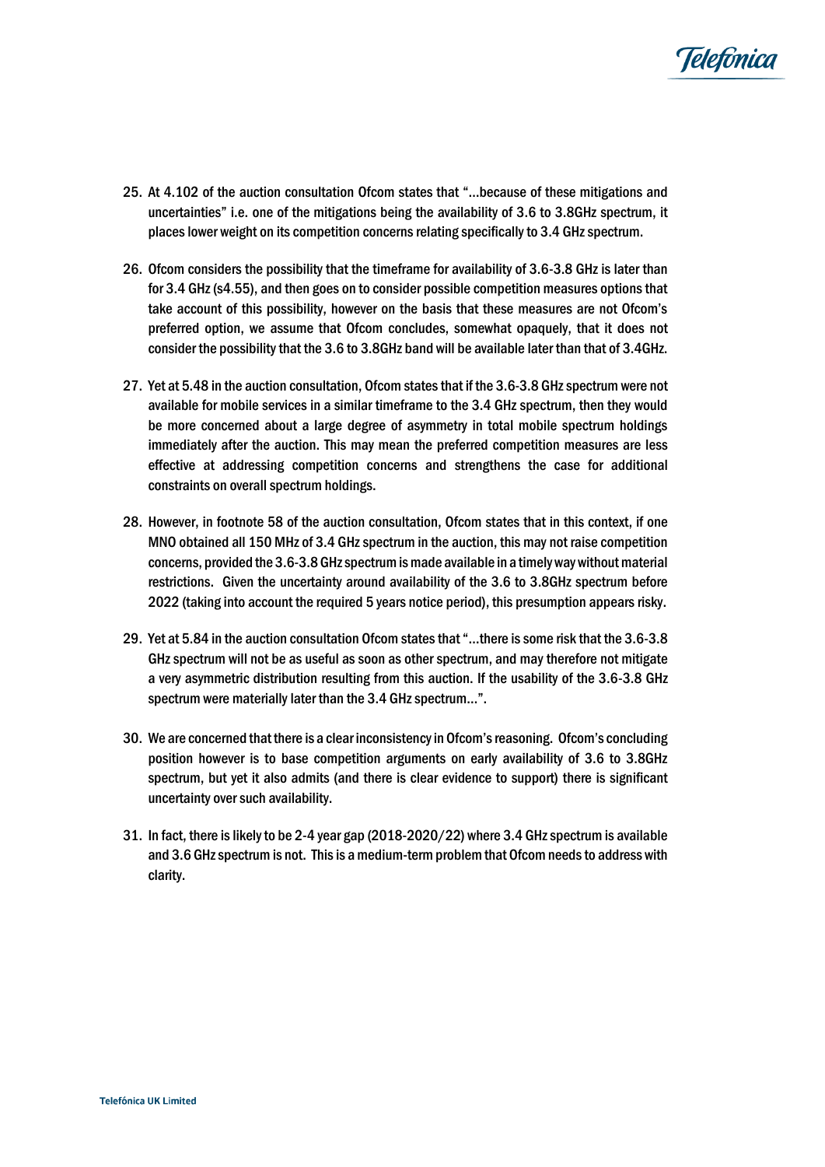

- 25. At 4.102 of the auction consultation Ofcom states that "…because of these mitigations and uncertainties" i.e. one of the mitigations being the availability of 3.6 to 3.8GHz spectrum, it placeslower weight on its competition concerns relating specifically to 3.4 GHz spectrum.
- 26. Ofcom considers the possibility that the timeframe for availability of 3.6-3.8 GHz is later than for 3.4 GHz (s4.55), and then goes on to consider possible competition measures options that take account of this possibility, however on the basis that these measures are not Ofcom's preferred option, we assume that Ofcom concludes, somewhat opaquely, that it does not consider the possibility that the 3.6 to 3.8GHz band will be available later than that of 3.4GHz.
- 27. Yet at 5.48 in the auction consultation, Ofcom states that if the 3.6-3.8 GHz spectrum were not available for mobile services in a similar timeframe to the 3.4 GHz spectrum, then they would be more concerned about a large degree of asymmetry in total mobile spectrum holdings immediately after the auction. This may mean the preferred competition measures are less effective at addressing competition concerns and strengthens the case for additional constraints on overall spectrum holdings.
- 28. However, in footnote 58 of the auction consultation, Ofcom states that in this context, if one MNO obtained all 150 MHz of 3.4 GHz spectrum in the auction, this may not raise competition concerns, provided the 3.6-3.8 GHz spectrum is made available in a timely way without material restrictions. Given the uncertainty around availability of the 3.6 to 3.8GHz spectrum before 2022 (taking into account the required 5 years notice period), this presumption appears risky.
- 29. Yet at 5.84 in the auction consultation Ofcom states that "…there is some risk that the 3.6-3.8 GHz spectrum will not be as useful as soon as other spectrum, and may therefore not mitigate a very asymmetric distribution resulting from this auction. If the usability of the 3.6-3.8 GHz spectrum were materially later than the 3.4 GHz spectrum…".
- 30. We are concerned that there is a clear inconsistency in Ofcom's reasoning. Ofcom's concluding position however is to base competition arguments on early availability of 3.6 to 3.8GHz spectrum, but yet it also admits (and there is clear evidence to support) there is significant uncertainty over such availability.
- 31. In fact, there is likely to be 2-4 year gap (2018-2020/22) where 3.4 GHz spectrum is available and 3.6 GHz spectrum is not. This is a medium-term problem that Ofcom needs to address with clarity.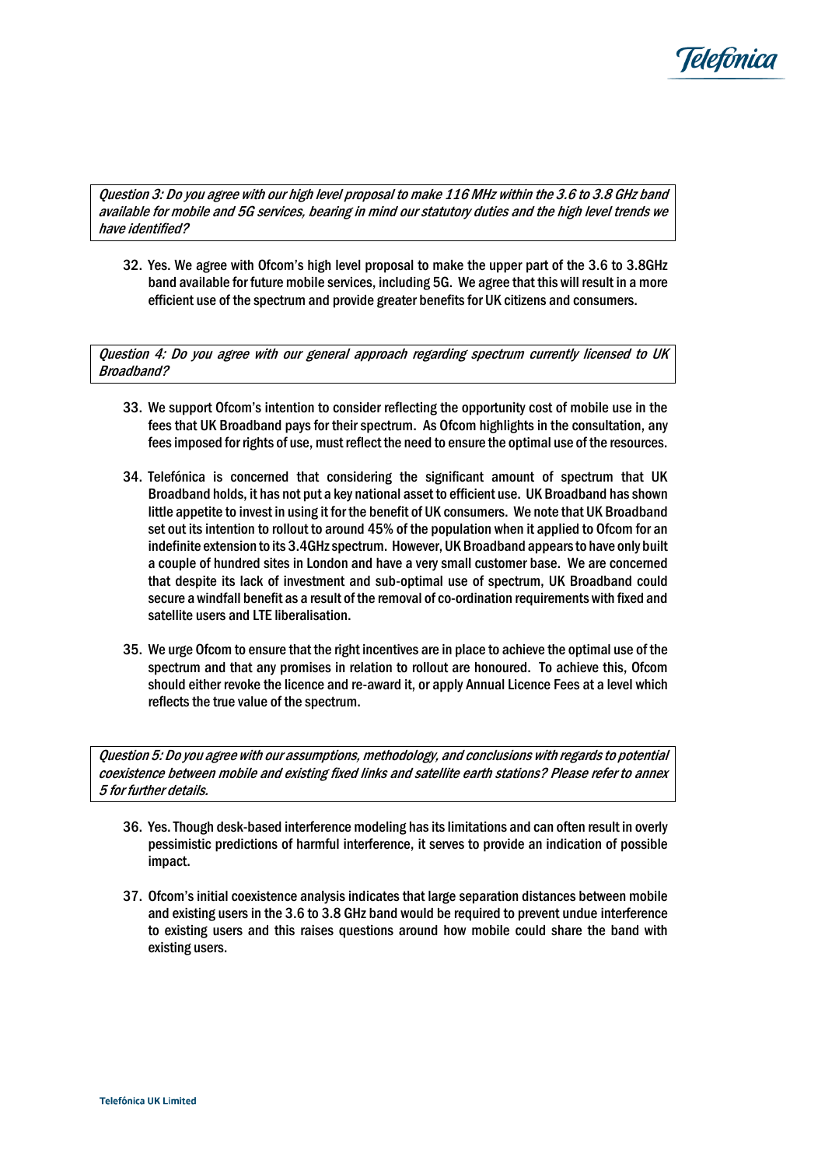

Question 3: Do you agree with our high level proposal to make 116 MHz within the 3.6 to 3.8 GHz band available for mobile and 5G services, bearing in mind our statutory duties and the high level trends we have identified?

32. Yes. We agree with Ofcom's high level proposal to make the upper part of the 3.6 to 3.8GHz band available for future mobile services, including 5G. We agree that this will result in a more efficient use of the spectrum and provide greater benefits for UK citizens and consumers.

Question 4: Do you agree with our general approach regarding spectrum currently licensed to UK Broadband?

- 33. We support Ofcom's intention to consider reflecting the opportunity cost of mobile use in the fees that UK Broadband pays for their spectrum. As Ofcom highlights in the consultation, any fees imposed for rights of use, must reflect the need to ensure the optimal use of the resources.
- 34. Telefónica is concerned that considering the significant amount of spectrum that UK Broadband holds, it has not put a key national asset to efficient use. UK Broadband has shown little appetite to invest in using it for the benefit of UK consumers. We note that UK Broadband set out its intention to rollout to around 45% of the population when it applied to Ofcom for an indefinite extension to its 3.4GHz spectrum. However, UK Broadband appears to have only built a couple of hundred sites in London and have a very small customer base. We are concerned that despite its lack of investment and sub-optimal use of spectrum, UK Broadband could secure a windfall benefit as a result of the removal of co-ordination requirements with fixed and satellite users and LTE liberalisation.
- 35. We urge Ofcom to ensure that the right incentives are in place to achieve the optimal use of the spectrum and that any promises in relation to rollout are honoured. To achieve this, Ofcom should either revoke the licence and re-award it, or apply Annual Licence Fees at a level which reflects the true value of the spectrum.

Question 5: Do you agree with our assumptions, methodology, and conclusions with regards to potential coexistence between mobile and existing fixed links and satellite earth stations? Please refer to annex 5 for further details.

- 36. Yes.Though desk-based interference modeling has its limitations and can often result in overly pessimistic predictions of harmful interference, it serves to provide an indication of possible impact.
- 37. Ofcom's initial coexistence analysis indicates that large separation distances between mobile and existing users in the 3.6 to 3.8 GHz band would be required to prevent undue interference to existing users and this raises questions around how mobile could share the band with existing users.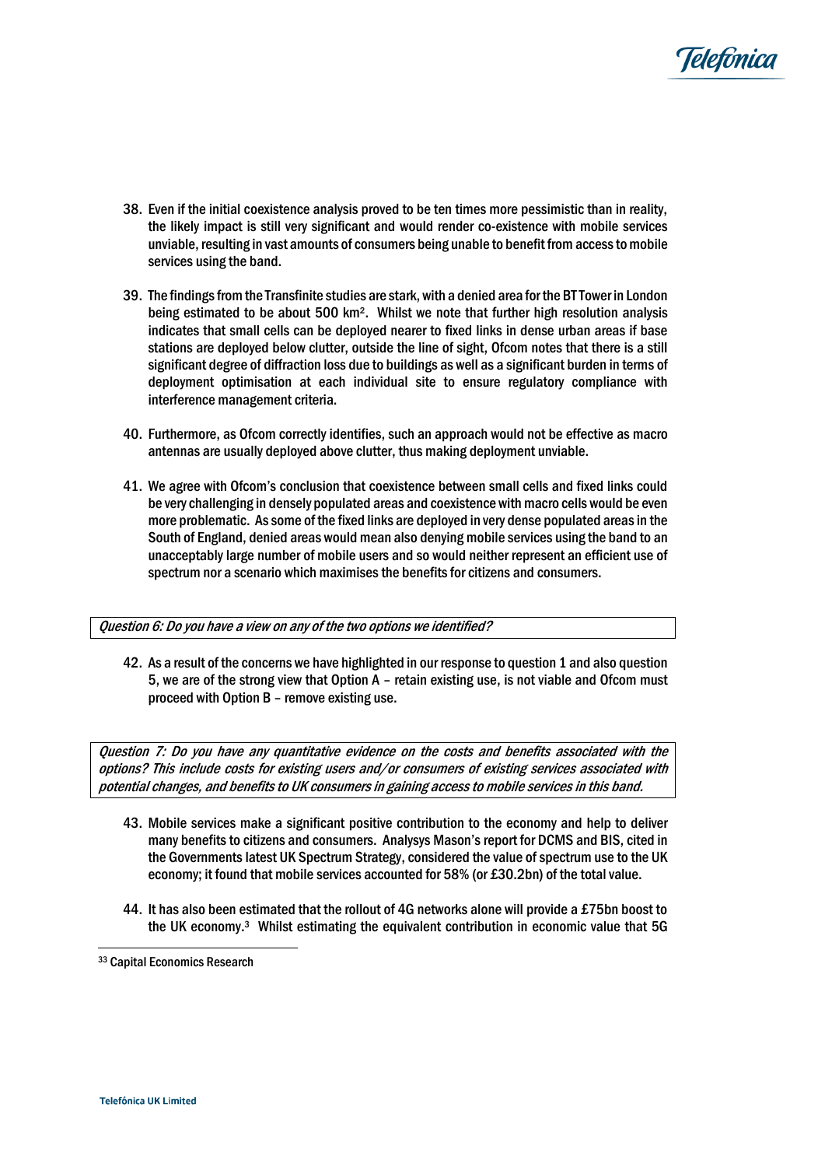

- 38. Even if the initial coexistence analysis proved to be ten times more pessimistic than in reality, the likely impact is still very significant and would render co-existence with mobile services unviable, resulting in vast amounts of consumers being unable to benefit from accessto mobile services using the band.
- 39. The findingsfrom the Transfinite studies are stark, with a denied area for the BT Tower in London being estimated to be about 500 km². Whilst we note that further high resolution analysis indicates that small cells can be deployed nearer to fixed links in dense urban areas if base stations are deployed below clutter, outside the line of sight, Ofcom notes that there is a still significant degree of diffraction loss due to buildings as well as a significant burden in terms of deployment optimisation at each individual site to ensure regulatory compliance with interference management criteria.
- 40. Furthermore, as Ofcom correctly identifies, such an approach would not be effective as macro antennas are usually deployed above clutter, thus making deployment unviable.
- 41. We agree with Ofcom's conclusion that coexistence between small cells and fixed links could be very challenging in densely populated areas and coexistence with macro cells would be even more problematic. As some of the fixed links are deployed in very dense populated areas in the South of England, denied areas would mean also denying mobile services using the band to an unacceptably large number of mobile users and so would neither represent an efficient use of spectrum nor a scenario which maximises the benefits for citizens and consumers.

#### Question 6: Do you have a view on any of the two options we identified?

42. As a result of the concerns we have highlighted in our response to question 1 and also question 5, we are of the strong view that Option A – retain existing use, is not viable and Ofcom must proceed with Option B – remove existing use.

Question 7: Do you have any quantitative evidence on the costs and benefits associated with the options? This include costs for existing users and/or consumers of existing services associated with potential changes, and benefits to UK consumers in gaining access to mobile services in this band.

- 43. Mobile services make a significant positive contribution to the economy and help to deliver many benefits to citizens and consumers. Analysys Mason's report for DCMS and BIS, cited in the Governments latest UK Spectrum Strategy, considered the value of spectrum use to the UK economy; it found that mobile services accounted for 58% (or £30.2bn) of the total value.
- 44. It has also been estimated that the rollout of 4G networks alone will provide a £75bn boost to the UK economy. <sup>3</sup> Whilst estimating the equivalent contribution in economic value that 5G

֦֘

<sup>33</sup> Capital Economics Research